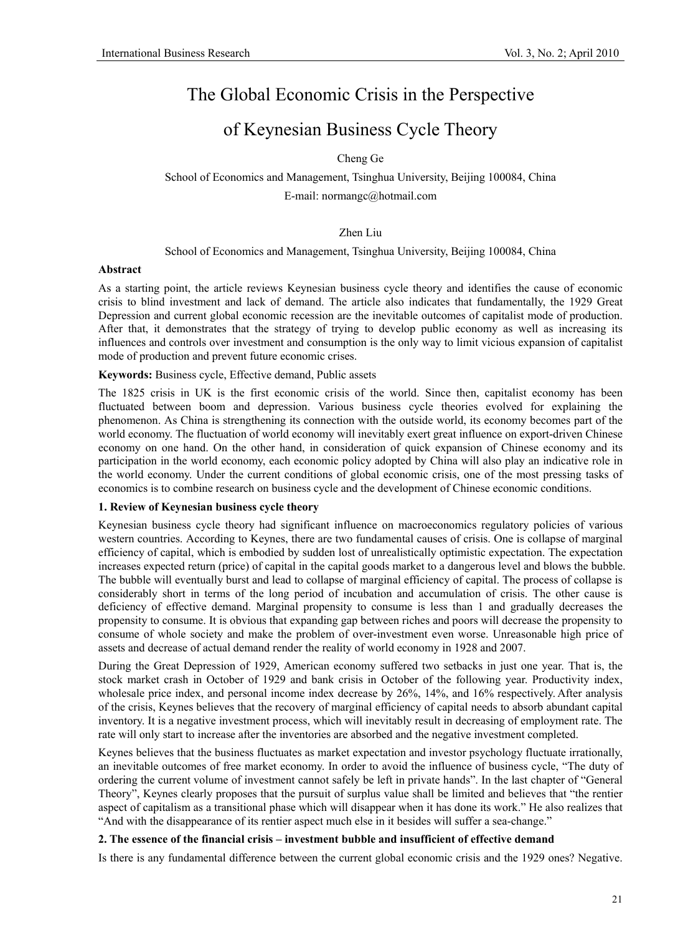# The Global Economic Crisis in the Perspective

## of Keynesian Business Cycle Theory

Cheng Ge

School of Economics and Management, Tsinghua University, Beijing 100084, China E-mail: normangc@hotmail.com

Zhen Liu

School of Economics and Management, Tsinghua University, Beijing 100084, China

#### **Abstract**

As a starting point, the article reviews Keynesian business cycle theory and identifies the cause of economic crisis to blind investment and lack of demand. The article also indicates that fundamentally, the 1929 Great Depression and current global economic recession are the inevitable outcomes of capitalist mode of production. After that, it demonstrates that the strategy of trying to develop public economy as well as increasing its influences and controls over investment and consumption is the only way to limit vicious expansion of capitalist mode of production and prevent future economic crises.

### **Keywords:** Business cycle, Effective demand, Public assets

The 1825 crisis in UK is the first economic crisis of the world. Since then, capitalist economy has been fluctuated between boom and depression. Various business cycle theories evolved for explaining the phenomenon. As China is strengthening its connection with the outside world, its economy becomes part of the world economy. The fluctuation of world economy will inevitably exert great influence on export-driven Chinese economy on one hand. On the other hand, in consideration of quick expansion of Chinese economy and its participation in the world economy, each economic policy adopted by China will also play an indicative role in the world economy. Under the current conditions of global economic crisis, one of the most pressing tasks of economics is to combine research on business cycle and the development of Chinese economic conditions.

## **1. Review of Keynesian business cycle theory**

Keynesian business cycle theory had significant influence on macroeconomics regulatory policies of various western countries. According to Keynes, there are two fundamental causes of crisis. One is collapse of marginal efficiency of capital, which is embodied by sudden lost of unrealistically optimistic expectation. The expectation increases expected return (price) of capital in the capital goods market to a dangerous level and blows the bubble. The bubble will eventually burst and lead to collapse of marginal efficiency of capital. The process of collapse is considerably short in terms of the long period of incubation and accumulation of crisis. The other cause is deficiency of effective demand. Marginal propensity to consume is less than 1 and gradually decreases the propensity to consume. It is obvious that expanding gap between riches and poors will decrease the propensity to consume of whole society and make the problem of over-investment even worse. Unreasonable high price of assets and decrease of actual demand render the reality of world economy in 1928 and 2007.

During the Great Depression of 1929, American economy suffered two setbacks in just one year. That is, the stock market crash in October of 1929 and bank crisis in October of the following year. Productivity index, wholesale price index, and personal income index decrease by 26%, 14%, and 16% respectively. After analysis of the crisis, Keynes believes that the recovery of marginal efficiency of capital needs to absorb abundant capital inventory. It is a negative investment process, which will inevitably result in decreasing of employment rate. The rate will only start to increase after the inventories are absorbed and the negative investment completed.

Keynes believes that the business fluctuates as market expectation and investor psychology fluctuate irrationally, an inevitable outcomes of free market economy. In order to avoid the influence of business cycle, "The duty of ordering the current volume of investment cannot safely be left in private hands". In the last chapter of "General Theory", Keynes clearly proposes that the pursuit of surplus value shall be limited and believes that "the rentier aspect of capitalism as a transitional phase which will disappear when it has done its work." He also realizes that "And with the disappearance of its rentier aspect much else in it besides will suffer a sea-change."

## **2. The essence of the financial crisis – investment bubble and insufficient of effective demand**

Is there is any fundamental difference between the current global economic crisis and the 1929 ones? Negative.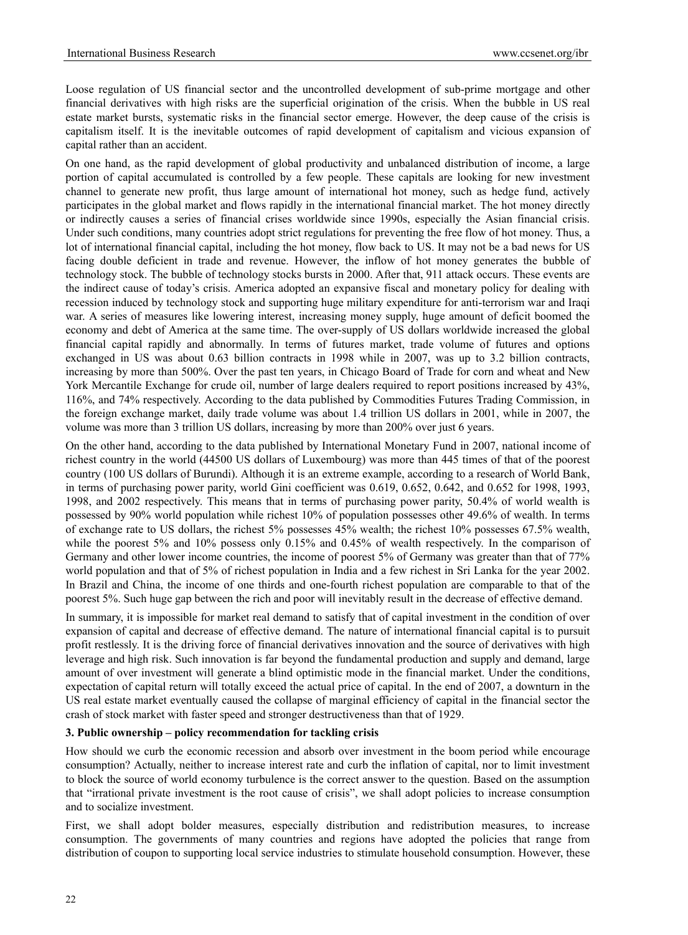Loose regulation of US financial sector and the uncontrolled development of sub-prime mortgage and other financial derivatives with high risks are the superficial origination of the crisis. When the bubble in US real estate market bursts, systematic risks in the financial sector emerge. However, the deep cause of the crisis is capitalism itself. It is the inevitable outcomes of rapid development of capitalism and vicious expansion of capital rather than an accident.

On one hand, as the rapid development of global productivity and unbalanced distribution of income, a large portion of capital accumulated is controlled by a few people. These capitals are looking for new investment channel to generate new profit, thus large amount of international hot money, such as hedge fund, actively participates in the global market and flows rapidly in the international financial market. The hot money directly or indirectly causes a series of financial crises worldwide since 1990s, especially the Asian financial crisis. Under such conditions, many countries adopt strict regulations for preventing the free flow of hot money. Thus, a lot of international financial capital, including the hot money, flow back to US. It may not be a bad news for US facing double deficient in trade and revenue. However, the inflow of hot money generates the bubble of technology stock. The bubble of technology stocks bursts in 2000. After that, 911 attack occurs. These events are the indirect cause of today's crisis. America adopted an expansive fiscal and monetary policy for dealing with recession induced by technology stock and supporting huge military expenditure for anti-terrorism war and Iraqi war. A series of measures like lowering interest, increasing money supply, huge amount of deficit boomed the economy and debt of America at the same time. The over-supply of US dollars worldwide increased the global financial capital rapidly and abnormally. In terms of futures market, trade volume of futures and options exchanged in US was about 0.63 billion contracts in 1998 while in 2007, was up to 3.2 billion contracts, increasing by more than 500%. Over the past ten years, in Chicago Board of Trade for corn and wheat and New York Mercantile Exchange for crude oil, number of large dealers required to report positions increased by 43%, 116%, and 74% respectively. According to the data published by Commodities Futures Trading Commission, in the foreign exchange market, daily trade volume was about 1.4 trillion US dollars in 2001, while in 2007, the volume was more than 3 trillion US dollars, increasing by more than 200% over just 6 years.

On the other hand, according to the data published by International Monetary Fund in 2007, national income of richest country in the world (44500 US dollars of Luxembourg) was more than 445 times of that of the poorest country (100 US dollars of Burundi). Although it is an extreme example, according to a research of World Bank, in terms of purchasing power parity, world Gini coefficient was 0.619, 0.652, 0.642, and 0.652 for 1998, 1993, 1998, and 2002 respectively. This means that in terms of purchasing power parity, 50.4% of world wealth is possessed by 90% world population while richest 10% of population possesses other 49.6% of wealth. In terms of exchange rate to US dollars, the richest 5% possesses 45% wealth; the richest 10% possesses 67.5% wealth, while the poorest 5% and 10% possess only 0.15% and 0.45% of wealth respectively. In the comparison of Germany and other lower income countries, the income of poorest 5% of Germany was greater than that of 77% world population and that of 5% of richest population in India and a few richest in Sri Lanka for the year 2002. In Brazil and China, the income of one thirds and one-fourth richest population are comparable to that of the poorest 5%. Such huge gap between the rich and poor will inevitably result in the decrease of effective demand.

In summary, it is impossible for market real demand to satisfy that of capital investment in the condition of over expansion of capital and decrease of effective demand. The nature of international financial capital is to pursuit profit restlessly. It is the driving force of financial derivatives innovation and the source of derivatives with high leverage and high risk. Such innovation is far beyond the fundamental production and supply and demand, large amount of over investment will generate a blind optimistic mode in the financial market. Under the conditions, expectation of capital return will totally exceed the actual price of capital. In the end of 2007, a downturn in the US real estate market eventually caused the collapse of marginal efficiency of capital in the financial sector the crash of stock market with faster speed and stronger destructiveness than that of 1929.

#### **3. Public ownership – policy recommendation for tackling crisis**

How should we curb the economic recession and absorb over investment in the boom period while encourage consumption? Actually, neither to increase interest rate and curb the inflation of capital, nor to limit investment to block the source of world economy turbulence is the correct answer to the question. Based on the assumption that "irrational private investment is the root cause of crisis", we shall adopt policies to increase consumption and to socialize investment.

First, we shall adopt bolder measures, especially distribution and redistribution measures, to increase consumption. The governments of many countries and regions have adopted the policies that range from distribution of coupon to supporting local service industries to stimulate household consumption. However, these